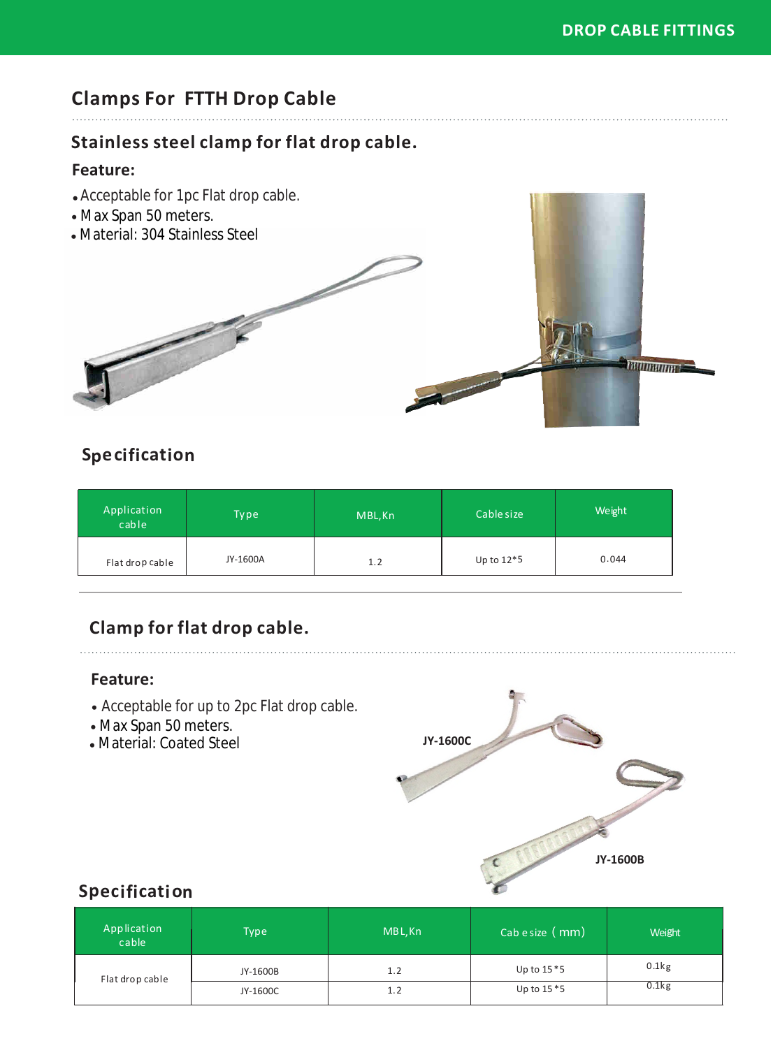# **Clamps For FTTH Drop Cable**

#### **Stainless steel clamp for flat drop cable.**

#### **Feature:**

- Acceptable for 1pc Flat drop cable. •
- Max Span 50 meters.
- Material: 304 Stainless Steel



## **Specification**

| Application<br>cable | Type     | MBL, Kn | Cable size   | Weight |
|----------------------|----------|---------|--------------|--------|
| Flat drop cable      | JY-1600A | 1.2     | Up to $12*5$ | 0.044  |

## **Clamp for flat drop cable.**

#### **Feature:**

- Acceptable for up to 2pc Flat drop cable.
- Max Span 50 meters.
- Material: Coated Steel



#### **Specification**

| Application<br>cable | <b>Type</b> | MBL, Kn | Cab e size ( mm) | Weight   |
|----------------------|-------------|---------|------------------|----------|
| Flat drop cable      | JY-1600B    | 1.2     | Up to $15*5$     | 0.1kg    |
|                      | JY-1600C    | 1.2     | Up to $15*5$     | $0.1$ kg |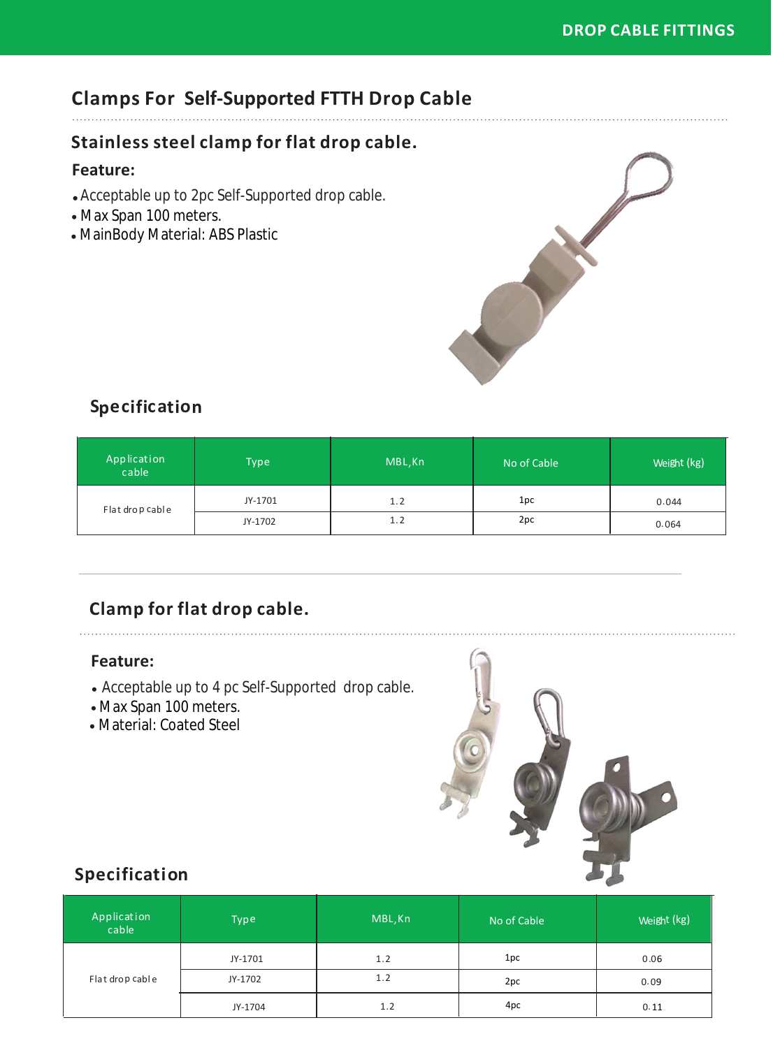#### **DROP CABLE FITTINGS**

# **Clamps For Self-Supported FTTH Drop Cable**

#### **Stainless steel clamp for flat drop cable.**

#### **Feature:**

- Acceptable up to 2pc Self-Supported drop cable. •
- Max Span 100 meters.
- MainBody Material: ABS Plastic



### **Specification**

| Application<br>cable | Type    | MBL, Kn | No of Cable | Weight (kg) |
|----------------------|---------|---------|-------------|-------------|
| Flat drop cable      | JY-1701 | 1.2     | 1pc         | 0.044       |
|                      | JY-1702 | 1.2     | 2pc         | 0.064       |

## **Clamp for flat drop cable.**

#### **Feature:**

- Acceptable up to 4 pc Self-Supported drop cable.
- Max Span 100 meters.

• Material: Coated Steel



#### **Specification**

| Application<br>cable | Type    | MBL, Kn | No of Cable | Weight (kg) |
|----------------------|---------|---------|-------------|-------------|
| Flat drop cable      | JY-1701 | 1.2     | 1pc         | 0.06        |
|                      | JY-1702 | 1.2     | 2pc         | 0.09        |
|                      | JY-1704 | 1.2     | 4pc         | 0.11        |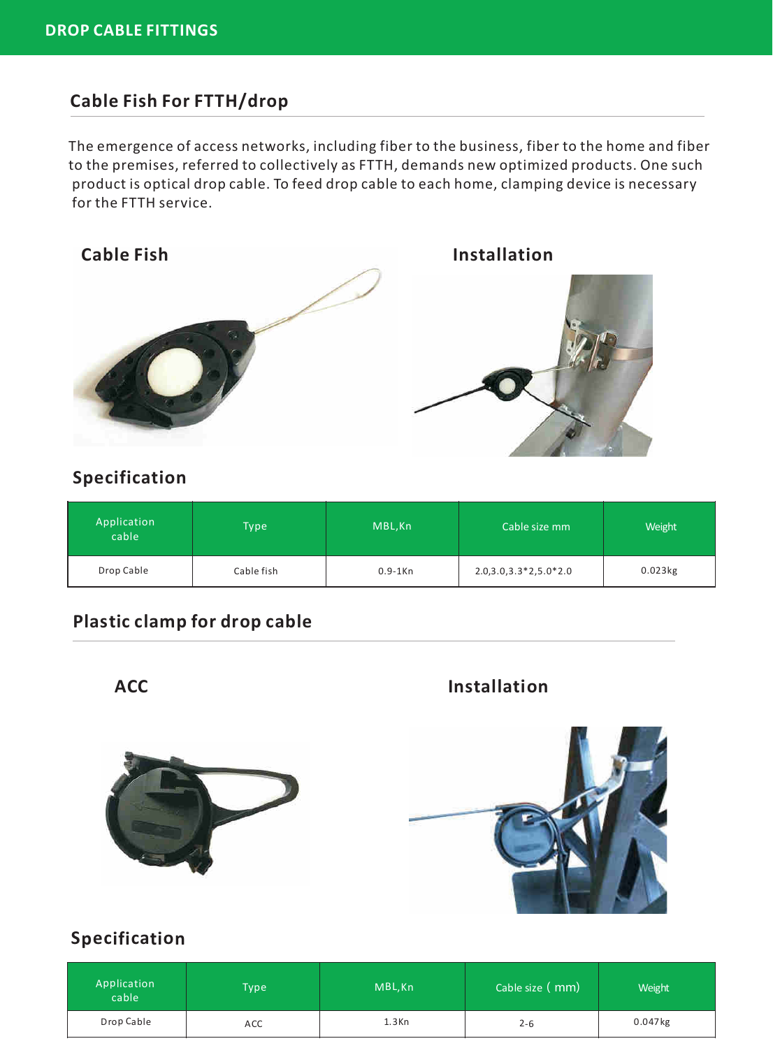#### **Cable Fish For FTTH/drop**

The emergence of access networks, including fiber to the business, fiber to the home and fiber to the premises, referred to collectively as FTTH, demands new optimized products. One such product is optical drop cable. To feed drop cable to each home, clamping device is necessary for the FTTH service.



#### **Specification**

| Application<br>cable | <b>Type</b> | MBL, Kn    | Cable size mm           | Weight                |
|----------------------|-------------|------------|-------------------------|-----------------------|
| Drop Cable           | Cable fish  | $0.9-1$ Kn | $2.0,3.0,3.3*2,5.0*2.0$ | $0.023$ <sub>kg</sub> |

#### **Plastic clamp for drop cable**

ACC **Installation** 



#### **Specification**

| Application<br>cable | <b>Type</b> | MBL, Kn  | Cable size ( mm) | Weight     |
|----------------------|-------------|----------|------------------|------------|
| Drop Cable           | ACC         | $1.3$ Kn | $2 - 6$          | $0.047$ kg |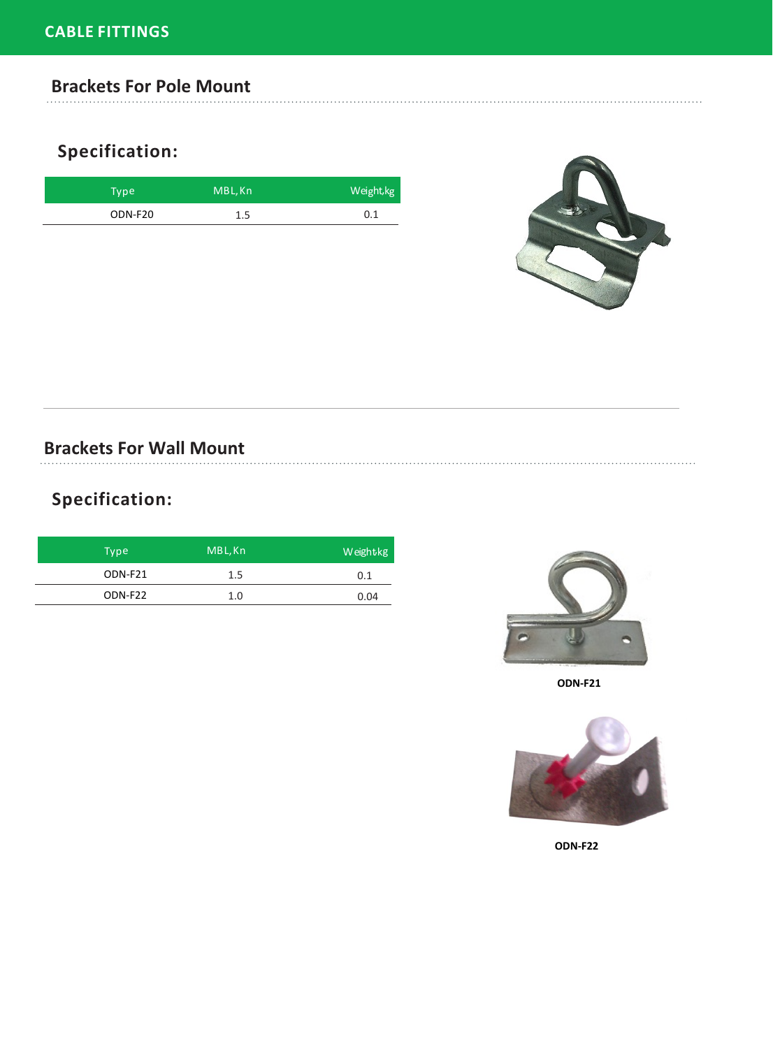#### **Brackets For Pole Mount**

# **Specification:**

| Type <sup>1</sup> | MBL, Kn | Weight, kg |
|-------------------|---------|------------|
| ODN-F20           | 1.5     | 0.1        |



### **Brackets For Wall Mount**

# **Specification:**

| Type    | MBL, Kn | Weightkg |
|---------|---------|----------|
| ODN-F21 | 1.5     | 0.1      |
| ODN-F22 | 1.0     | 0.04     |



**ODN-F21**



**ODN-F22**